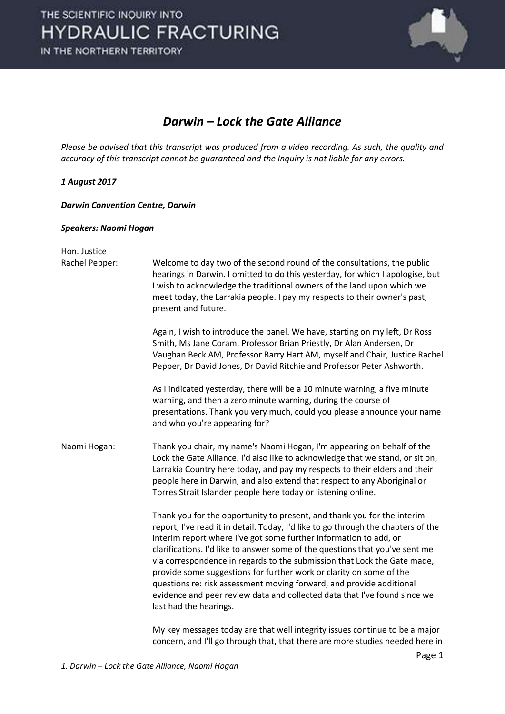

#### Darwin – Lock the Gate Alliance

Please be advised that this transcript was produced from a video recording. As such, the quality and accuracy of this transcript cannot be guaranteed and the Inquiry is not liable for any errors.

#### 1 August 2017

Darwin Convention Centre, Darwin

#### Speakers: Naomi Hogan

| Hon. Justice<br>Rachel Pepper: | Welcome to day two of the second round of the consultations, the public<br>hearings in Darwin. I omitted to do this yesterday, for which I apologise, but<br>I wish to acknowledge the traditional owners of the land upon which we<br>meet today, the Larrakia people. I pay my respects to their owner's past,<br>present and future.                                                                                                                                                                                                                                                                                                             |
|--------------------------------|-----------------------------------------------------------------------------------------------------------------------------------------------------------------------------------------------------------------------------------------------------------------------------------------------------------------------------------------------------------------------------------------------------------------------------------------------------------------------------------------------------------------------------------------------------------------------------------------------------------------------------------------------------|
|                                | Again, I wish to introduce the panel. We have, starting on my left, Dr Ross<br>Smith, Ms Jane Coram, Professor Brian Priestly, Dr Alan Andersen, Dr<br>Vaughan Beck AM, Professor Barry Hart AM, myself and Chair, Justice Rachel<br>Pepper, Dr David Jones, Dr David Ritchie and Professor Peter Ashworth.                                                                                                                                                                                                                                                                                                                                         |
|                                | As I indicated yesterday, there will be a 10 minute warning, a five minute<br>warning, and then a zero minute warning, during the course of<br>presentations. Thank you very much, could you please announce your name<br>and who you're appearing for?                                                                                                                                                                                                                                                                                                                                                                                             |
| Naomi Hogan:                   | Thank you chair, my name's Naomi Hogan, I'm appearing on behalf of the<br>Lock the Gate Alliance. I'd also like to acknowledge that we stand, or sit on,<br>Larrakia Country here today, and pay my respects to their elders and their<br>people here in Darwin, and also extend that respect to any Aboriginal or<br>Torres Strait Islander people here today or listening online.                                                                                                                                                                                                                                                                 |
|                                | Thank you for the opportunity to present, and thank you for the interim<br>report; I've read it in detail. Today, I'd like to go through the chapters of the<br>interim report where I've got some further information to add, or<br>clarifications. I'd like to answer some of the questions that you've sent me<br>via correspondence in regards to the submission that Lock the Gate made,<br>provide some suggestions for further work or clarity on some of the<br>questions re: risk assessment moving forward, and provide additional<br>evidence and peer review data and collected data that I've found since we<br>last had the hearings. |
|                                | My key messages today are that well integrity issues continue to be a major                                                                                                                                                                                                                                                                                                                                                                                                                                                                                                                                                                         |

concern, and I'll go through that, that there are more studies needed here in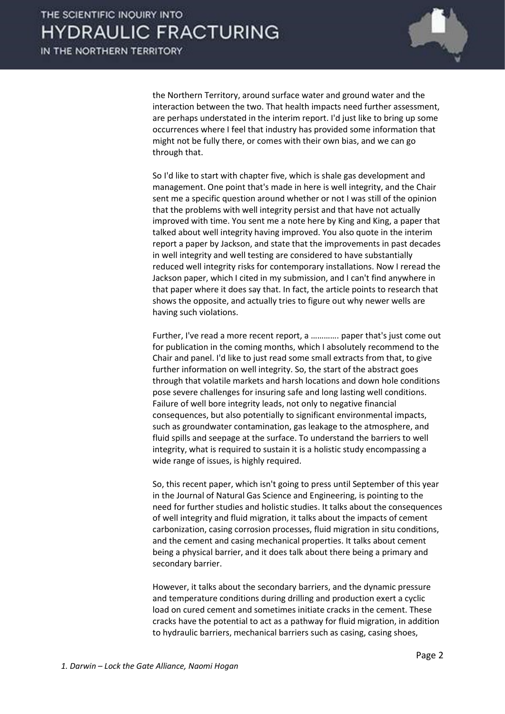

the Northern Territory, around surface water and ground water and the interaction between the two. That health impacts need further assessment, are perhaps understated in the interim report. I'd just like to bring up some occurrences where I feel that industry has provided some information that might not be fully there, or comes with their own bias, and we can go through that.

 So I'd like to start with chapter five, which is shale gas development and management. One point that's made in here is well integrity, and the Chair sent me a specific question around whether or not I was still of the opinion that the problems with well integrity persist and that have not actually improved with time. You sent me a note here by King and King, a paper that talked about well integrity having improved. You also quote in the interim report a paper by Jackson, and state that the improvements in past decades in well integrity and well testing are considered to have substantially reduced well integrity risks for contemporary installations. Now I reread the Jackson paper, which I cited in my submission, and I can't find anywhere in that paper where it does say that. In fact, the article points to research that shows the opposite, and actually tries to figure out why newer wells are having such violations.

 Further, I've read a more recent report, a …………. paper that's just come out for publication in the coming months, which I absolutely recommend to the Chair and panel. I'd like to just read some small extracts from that, to give further information on well integrity. So, the start of the abstract goes through that volatile markets and harsh locations and down hole conditions pose severe challenges for insuring safe and long lasting well conditions. Failure of well bore integrity leads, not only to negative financial consequences, but also potentially to significant environmental impacts, such as groundwater contamination, gas leakage to the atmosphere, and fluid spills and seepage at the surface. To understand the barriers to well integrity, what is required to sustain it is a holistic study encompassing a wide range of issues, is highly required.

 So, this recent paper, which isn't going to press until September of this year in the Journal of Natural Gas Science and Engineering, is pointing to the need for further studies and holistic studies. It talks about the consequences of well integrity and fluid migration, it talks about the impacts of cement carbonization, casing corrosion processes, fluid migration in situ conditions, and the cement and casing mechanical properties. It talks about cement being a physical barrier, and it does talk about there being a primary and secondary barrier.

 However, it talks about the secondary barriers, and the dynamic pressure and temperature conditions during drilling and production exert a cyclic load on cured cement and sometimes initiate cracks in the cement. These cracks have the potential to act as a pathway for fluid migration, in addition to hydraulic barriers, mechanical barriers such as casing, casing shoes,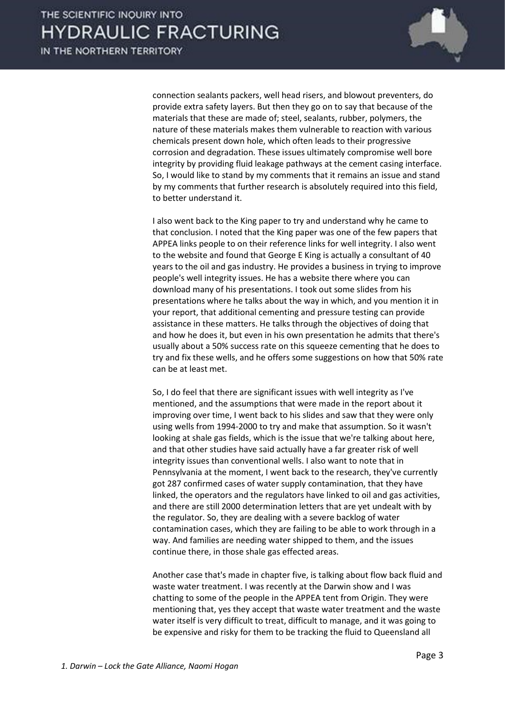

connection sealants packers, well head risers, and blowout preventers, do provide extra safety layers. But then they go on to say that because of the materials that these are made of; steel, sealants, rubber, polymers, the nature of these materials makes them vulnerable to reaction with various chemicals present down hole, which often leads to their progressive corrosion and degradation. These issues ultimately compromise well bore integrity by providing fluid leakage pathways at the cement casing interface. So, I would like to stand by my comments that it remains an issue and stand by my comments that further research is absolutely required into this field, to better understand it.

 I also went back to the King paper to try and understand why he came to that conclusion. I noted that the King paper was one of the few papers that APPEA links people to on their reference links for well integrity. I also went to the website and found that George E King is actually a consultant of 40 years to the oil and gas industry. He provides a business in trying to improve people's well integrity issues. He has a website there where you can download many of his presentations. I took out some slides from his presentations where he talks about the way in which, and you mention it in your report, that additional cementing and pressure testing can provide assistance in these matters. He talks through the objectives of doing that and how he does it, but even in his own presentation he admits that there's usually about a 50% success rate on this squeeze cementing that he does to try and fix these wells, and he offers some suggestions on how that 50% rate can be at least met.

 So, I do feel that there are significant issues with well integrity as I've mentioned, and the assumptions that were made in the report about it improving over time, I went back to his slides and saw that they were only using wells from 1994-2000 to try and make that assumption. So it wasn't looking at shale gas fields, which is the issue that we're talking about here, and that other studies have said actually have a far greater risk of well integrity issues than conventional wells. I also want to note that in Pennsylvania at the moment, I went back to the research, they've currently got 287 confirmed cases of water supply contamination, that they have linked, the operators and the regulators have linked to oil and gas activities, and there are still 2000 determination letters that are yet undealt with by the regulator. So, they are dealing with a severe backlog of water contamination cases, which they are failing to be able to work through in a way. And families are needing water shipped to them, and the issues continue there, in those shale gas effected areas.

 Another case that's made in chapter five, is talking about flow back fluid and waste water treatment. I was recently at the Darwin show and I was chatting to some of the people in the APPEA tent from Origin. They were mentioning that, yes they accept that waste water treatment and the waste water itself is very difficult to treat, difficult to manage, and it was going to be expensive and risky for them to be tracking the fluid to Queensland all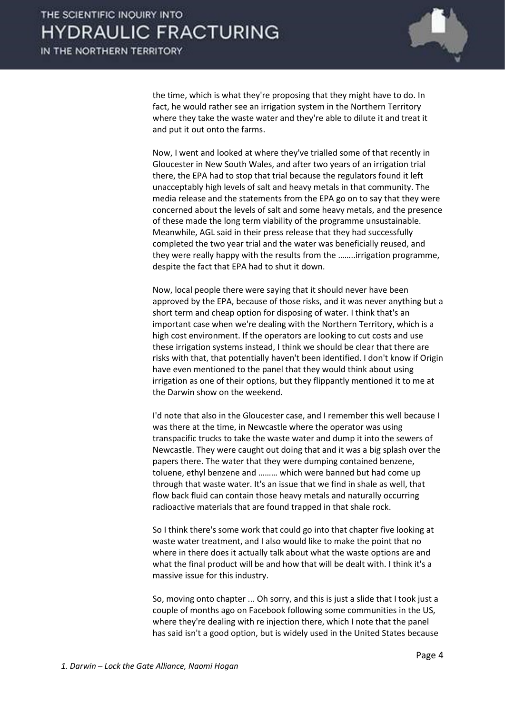

the time, which is what they're proposing that they might have to do. In fact, he would rather see an irrigation system in the Northern Territory where they take the waste water and they're able to dilute it and treat it and put it out onto the farms.

 Now, I went and looked at where they've trialled some of that recently in Gloucester in New South Wales, and after two years of an irrigation trial there, the EPA had to stop that trial because the regulators found it left unacceptably high levels of salt and heavy metals in that community. The media release and the statements from the EPA go on to say that they were concerned about the levels of salt and some heavy metals, and the presence of these made the long term viability of the programme unsustainable. Meanwhile, AGL said in their press release that they had successfully completed the two year trial and the water was beneficially reused, and they were really happy with the results from the ……..irrigation programme, despite the fact that EPA had to shut it down.

 Now, local people there were saying that it should never have been approved by the EPA, because of those risks, and it was never anything but a short term and cheap option for disposing of water. I think that's an important case when we're dealing with the Northern Territory, which is a high cost environment. If the operators are looking to cut costs and use these irrigation systems instead, I think we should be clear that there are risks with that, that potentially haven't been identified. I don't know if Origin have even mentioned to the panel that they would think about using irrigation as one of their options, but they flippantly mentioned it to me at the Darwin show on the weekend.

 I'd note that also in the Gloucester case, and I remember this well because I was there at the time, in Newcastle where the operator was using transpacific trucks to take the waste water and dump it into the sewers of Newcastle. They were caught out doing that and it was a big splash over the papers there. The water that they were dumping contained benzene, toluene, ethyl benzene and ……… which were banned but had come up through that waste water. It's an issue that we find in shale as well, that flow back fluid can contain those heavy metals and naturally occurring radioactive materials that are found trapped in that shale rock.

 So I think there's some work that could go into that chapter five looking at waste water treatment, and I also would like to make the point that no where in there does it actually talk about what the waste options are and what the final product will be and how that will be dealt with. I think it's a massive issue for this industry.

 So, moving onto chapter ... Oh sorry, and this is just a slide that I took just a couple of months ago on Facebook following some communities in the US, where they're dealing with re injection there, which I note that the panel has said isn't a good option, but is widely used in the United States because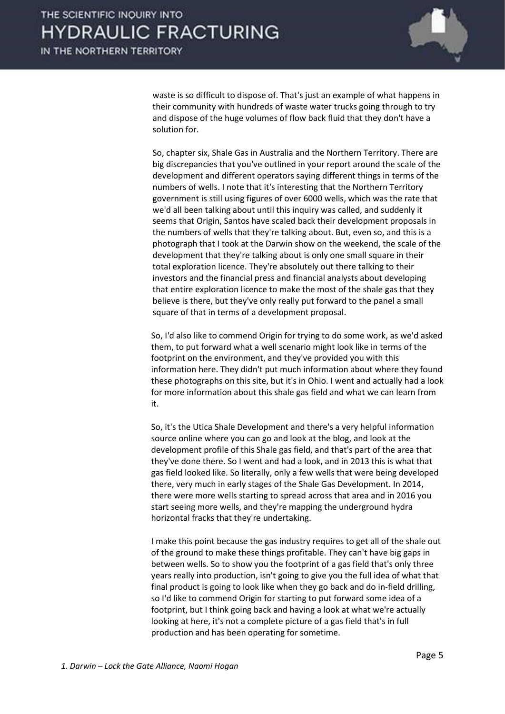

waste is so difficult to dispose of. That's just an example of what happens in their community with hundreds of waste water trucks going through to try and dispose of the huge volumes of flow back fluid that they don't have a solution for.

 So, chapter six, Shale Gas in Australia and the Northern Territory. There are big discrepancies that you've outlined in your report around the scale of the development and different operators saying different things in terms of the numbers of wells. I note that it's interesting that the Northern Territory government is still using figures of over 6000 wells, which was the rate that we'd all been talking about until this inquiry was called, and suddenly it seems that Origin, Santos have scaled back their development proposals in the numbers of wells that they're talking about. But, even so, and this is a photograph that I took at the Darwin show on the weekend, the scale of the development that they're talking about is only one small square in their total exploration licence. They're absolutely out there talking to their investors and the financial press and financial analysts about developing that entire exploration licence to make the most of the shale gas that they believe is there, but they've only really put forward to the panel a small square of that in terms of a development proposal.

 So, I'd also like to commend Origin for trying to do some work, as we'd asked them, to put forward what a well scenario might look like in terms of the footprint on the environment, and they've provided you with this information here. They didn't put much information about where they found these photographs on this site, but it's in Ohio. I went and actually had a look for more information about this shale gas field and what we can learn from it.

 So, it's the Utica Shale Development and there's a very helpful information source online where you can go and look at the blog, and look at the development profile of this Shale gas field, and that's part of the area that they've done there. So I went and had a look, and in 2013 this is what that gas field looked like. So literally, only a few wells that were being developed there, very much in early stages of the Shale Gas Development. In 2014, there were more wells starting to spread across that area and in 2016 you start seeing more wells, and they're mapping the underground hydra horizontal fracks that they're undertaking.

 I make this point because the gas industry requires to get all of the shale out of the ground to make these things profitable. They can't have big gaps in between wells. So to show you the footprint of a gas field that's only three years really into production, isn't going to give you the full idea of what that final product is going to look like when they go back and do in-field drilling, so I'd like to commend Origin for starting to put forward some idea of a footprint, but I think going back and having a look at what we're actually looking at here, it's not a complete picture of a gas field that's in full production and has been operating for sometime.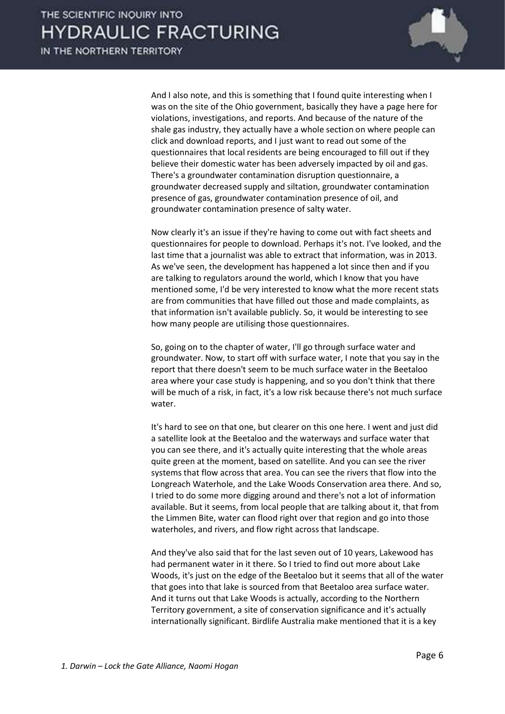

 And I also note, and this is something that I found quite interesting when I was on the site of the Ohio government, basically they have a page here for violations, investigations, and reports. And because of the nature of the shale gas industry, they actually have a whole section on where people can click and download reports, and I just want to read out some of the questionnaires that local residents are being encouraged to fill out if they believe their domestic water has been adversely impacted by oil and gas. There's a groundwater contamination disruption questionnaire, a groundwater decreased supply and siltation, groundwater contamination presence of gas, groundwater contamination presence of oil, and groundwater contamination presence of salty water.

 Now clearly it's an issue if they're having to come out with fact sheets and questionnaires for people to download. Perhaps it's not. I've looked, and the last time that a journalist was able to extract that information, was in 2013. As we've seen, the development has happened a lot since then and if you are talking to regulators around the world, which I know that you have mentioned some, I'd be very interested to know what the more recent stats are from communities that have filled out those and made complaints, as that information isn't available publicly. So, it would be interesting to see how many people are utilising those questionnaires.

 So, going on to the chapter of water, I'll go through surface water and groundwater. Now, to start off with surface water, I note that you say in the report that there doesn't seem to be much surface water in the Beetaloo area where your case study is happening, and so you don't think that there will be much of a risk, in fact, it's a low risk because there's not much surface water.

 It's hard to see on that one, but clearer on this one here. I went and just did a satellite look at the Beetaloo and the waterways and surface water that you can see there, and it's actually quite interesting that the whole areas quite green at the moment, based on satellite. And you can see the river systems that flow across that area. You can see the rivers that flow into the Longreach Waterhole, and the Lake Woods Conservation area there. And so, I tried to do some more digging around and there's not a lot of information available. But it seems, from local people that are talking about it, that from the Limmen Bite, water can flood right over that region and go into those waterholes, and rivers, and flow right across that landscape.

 And they've also said that for the last seven out of 10 years, Lakewood has had permanent water in it there. So I tried to find out more about Lake Woods, it's just on the edge of the Beetaloo but it seems that all of the water that goes into that lake is sourced from that Beetaloo area surface water. And it turns out that Lake Woods is actually, according to the Northern Territory government, a site of conservation significance and it's actually internationally significant. Birdlife Australia make mentioned that it is a key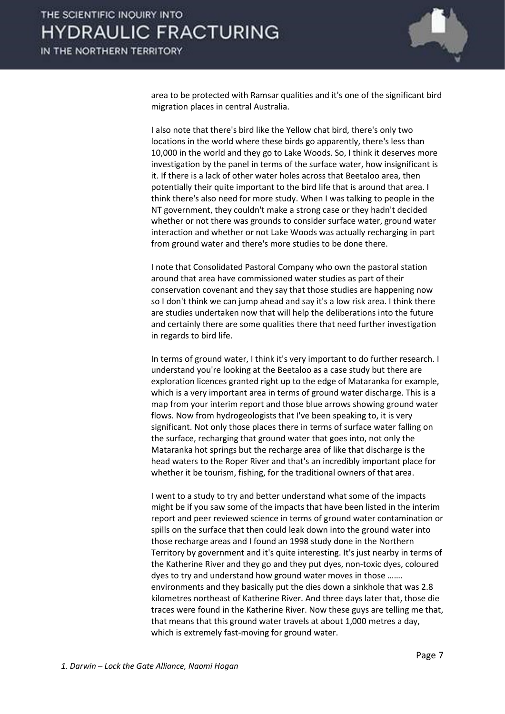

area to be protected with Ramsar qualities and it's one of the significant bird migration places in central Australia.

 I also note that there's bird like the Yellow chat bird, there's only two locations in the world where these birds go apparently, there's less than 10,000 in the world and they go to Lake Woods. So, I think it deserves more investigation by the panel in terms of the surface water, how insignificant is it. If there is a lack of other water holes across that Beetaloo area, then potentially their quite important to the bird life that is around that area. I think there's also need for more study. When I was talking to people in the NT government, they couldn't make a strong case or they hadn't decided whether or not there was grounds to consider surface water, ground water interaction and whether or not Lake Woods was actually recharging in part from ground water and there's more studies to be done there.

 I note that Consolidated Pastoral Company who own the pastoral station around that area have commissioned water studies as part of their conservation covenant and they say that those studies are happening now so I don't think we can jump ahead and say it's a low risk area. I think there are studies undertaken now that will help the deliberations into the future and certainly there are some qualities there that need further investigation in regards to bird life.

 In terms of ground water, I think it's very important to do further research. I understand you're looking at the Beetaloo as a case study but there are exploration licences granted right up to the edge of Mataranka for example, which is a very important area in terms of ground water discharge. This is a map from your interim report and those blue arrows showing ground water flows. Now from hydrogeologists that I've been speaking to, it is very significant. Not only those places there in terms of surface water falling on the surface, recharging that ground water that goes into, not only the Mataranka hot springs but the recharge area of like that discharge is the head waters to the Roper River and that's an incredibly important place for whether it be tourism, fishing, for the traditional owners of that area.

 I went to a study to try and better understand what some of the impacts might be if you saw some of the impacts that have been listed in the interim report and peer reviewed science in terms of ground water contamination or spills on the surface that then could leak down into the ground water into those recharge areas and I found an 1998 study done in the Northern Territory by government and it's quite interesting. It's just nearby in terms of the Katherine River and they go and they put dyes, non-toxic dyes, coloured dyes to try and understand how ground water moves in those ……. environments and they basically put the dies down a sinkhole that was 2.8 kilometres northeast of Katherine River. And three days later that, those die traces were found in the Katherine River. Now these guys are telling me that, that means that this ground water travels at about 1,000 metres a day, which is extremely fast-moving for ground water.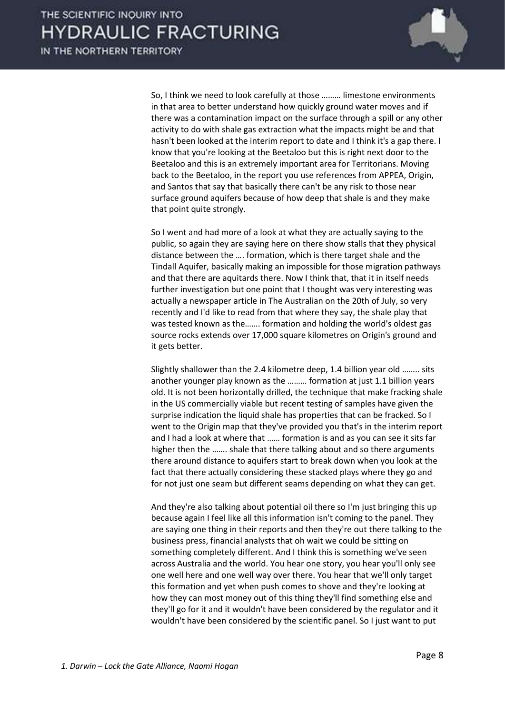

 So, I think we need to look carefully at those ……… limestone environments in that area to better understand how quickly ground water moves and if there was a contamination impact on the surface through a spill or any other activity to do with shale gas extraction what the impacts might be and that hasn't been looked at the interim report to date and I think it's a gap there. I know that you're looking at the Beetaloo but this is right next door to the Beetaloo and this is an extremely important area for Territorians. Moving back to the Beetaloo, in the report you use references from APPEA, Origin, and Santos that say that basically there can't be any risk to those near surface ground aquifers because of how deep that shale is and they make that point quite strongly.

 So I went and had more of a look at what they are actually saying to the public, so again they are saying here on there show stalls that they physical distance between the …. formation, which is there target shale and the Tindall Aquifer, basically making an impossible for those migration pathways and that there are aquitards there. Now I think that, that it in itself needs further investigation but one point that I thought was very interesting was actually a newspaper article in The Australian on the 20th of July, so very recently and I'd like to read from that where they say, the shale play that was tested known as the……. formation and holding the world's oldest gas source rocks extends over 17,000 square kilometres on Origin's ground and it gets better.

 Slightly shallower than the 2.4 kilometre deep, 1.4 billion year old …….. sits another younger play known as the ……… formation at just 1.1 billion years old. It is not been horizontally drilled, the technique that make fracking shale in the US commercially viable but recent testing of samples have given the surprise indication the liquid shale has properties that can be fracked. So I went to the Origin map that they've provided you that's in the interim report and I had a look at where that …… formation is and as you can see it sits far higher then the ……. shale that there talking about and so there arguments there around distance to aquifers start to break down when you look at the fact that there actually considering these stacked plays where they go and for not just one seam but different seams depending on what they can get.

 And they're also talking about potential oil there so I'm just bringing this up because again I feel like all this information isn't coming to the panel. They are saying one thing in their reports and then they're out there talking to the business press, financial analysts that oh wait we could be sitting on something completely different. And I think this is something we've seen across Australia and the world. You hear one story, you hear you'll only see one well here and one well way over there. You hear that we'll only target this formation and yet when push comes to shove and they're looking at how they can most money out of this thing they'll find something else and they'll go for it and it wouldn't have been considered by the regulator and it wouldn't have been considered by the scientific panel. So I just want to put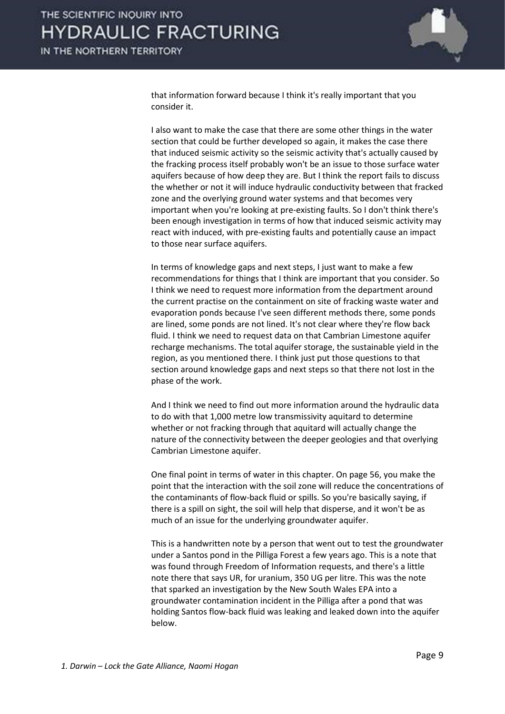

that information forward because I think it's really important that you consider it.

 I also want to make the case that there are some other things in the water section that could be further developed so again, it makes the case there that induced seismic activity so the seismic activity that's actually caused by the fracking process itself probably won't be an issue to those surface water aquifers because of how deep they are. But I think the report fails to discuss the whether or not it will induce hydraulic conductivity between that fracked zone and the overlying ground water systems and that becomes very important when you're looking at pre-existing faults. So I don't think there's been enough investigation in terms of how that induced seismic activity may react with induced, with pre-existing faults and potentially cause an impact to those near surface aquifers.

 In terms of knowledge gaps and next steps, I just want to make a few recommendations for things that I think are important that you consider. So I think we need to request more information from the department around the current practise on the containment on site of fracking waste water and evaporation ponds because I've seen different methods there, some ponds are lined, some ponds are not lined. It's not clear where they're flow back fluid. I think we need to request data on that Cambrian Limestone aquifer recharge mechanisms. The total aquifer storage, the sustainable yield in the region, as you mentioned there. I think just put those questions to that section around knowledge gaps and next steps so that there not lost in the phase of the work.

And I think we need to find out more information around the hydraulic data to do with that 1,000 metre low transmissivity aquitard to determine whether or not fracking through that aquitard will actually change the nature of the connectivity between the deeper geologies and that overlying Cambrian Limestone aquifer.

One final point in terms of water in this chapter. On page 56, you make the point that the interaction with the soil zone will reduce the concentrations of the contaminants of flow-back fluid or spills. So you're basically saying, if there is a spill on sight, the soil will help that disperse, and it won't be as much of an issue for the underlying groundwater aquifer.

 This is a handwritten note by a person that went out to test the groundwater under a Santos pond in the Pilliga Forest a few years ago. This is a note that was found through Freedom of Information requests, and there's a little note there that says UR, for uranium, 350 UG per litre. This was the note that sparked an investigation by the New South Wales EPA into a groundwater contamination incident in the Pilliga after a pond that was holding Santos flow-back fluid was leaking and leaked down into the aquifer below.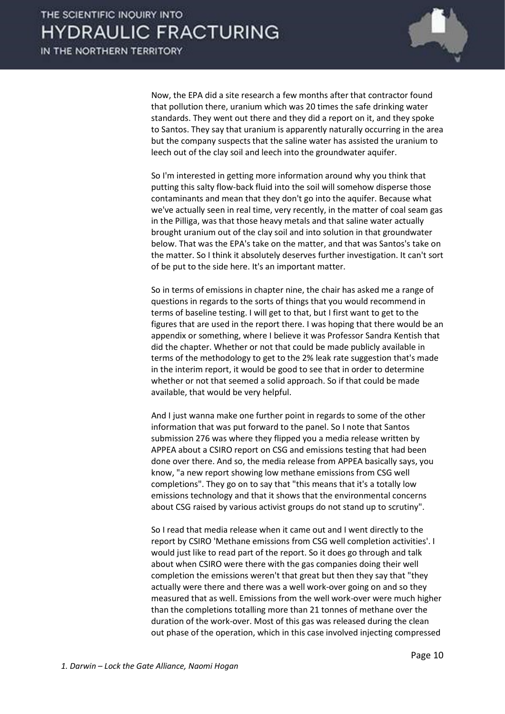

 Now, the EPA did a site research a few months after that contractor found that pollution there, uranium which was 20 times the safe drinking water standards. They went out there and they did a report on it, and they spoke to Santos. They say that uranium is apparently naturally occurring in the area but the company suspects that the saline water has assisted the uranium to leech out of the clay soil and leech into the groundwater aquifer.

 So I'm interested in getting more information around why you think that putting this salty flow-back fluid into the soil will somehow disperse those contaminants and mean that they don't go into the aquifer. Because what we've actually seen in real time, very recently, in the matter of coal seam gas in the Pilliga, was that those heavy metals and that saline water actually brought uranium out of the clay soil and into solution in that groundwater below. That was the EPA's take on the matter, and that was Santos's take on the matter. So I think it absolutely deserves further investigation. It can't sort of be put to the side here. It's an important matter.

 So in terms of emissions in chapter nine, the chair has asked me a range of questions in regards to the sorts of things that you would recommend in terms of baseline testing. I will get to that, but I first want to get to the figures that are used in the report there. I was hoping that there would be an appendix or something, where I believe it was Professor Sandra Kentish that did the chapter. Whether or not that could be made publicly available in terms of the methodology to get to the 2% leak rate suggestion that's made in the interim report, it would be good to see that in order to determine whether or not that seemed a solid approach. So if that could be made available, that would be very helpful.

 And I just wanna make one further point in regards to some of the other information that was put forward to the panel. So I note that Santos submission 276 was where they flipped you a media release written by APPEA about a CSIRO report on CSG and emissions testing that had been done over there. And so, the media release from APPEA basically says, you know, "a new report showing low methane emissions from CSG well completions". They go on to say that "this means that it's a totally low emissions technology and that it shows that the environmental concerns about CSG raised by various activist groups do not stand up to scrutiny".

 So I read that media release when it came out and I went directly to the report by CSIRO 'Methane emissions from CSG well completion activities'. I would just like to read part of the report. So it does go through and talk about when CSIRO were there with the gas companies doing their well completion the emissions weren't that great but then they say that "they actually were there and there was a well work-over going on and so they measured that as well. Emissions from the well work-over were much higher than the completions totalling more than 21 tonnes of methane over the duration of the work-over. Most of this gas was released during the clean out phase of the operation, which in this case involved injecting compressed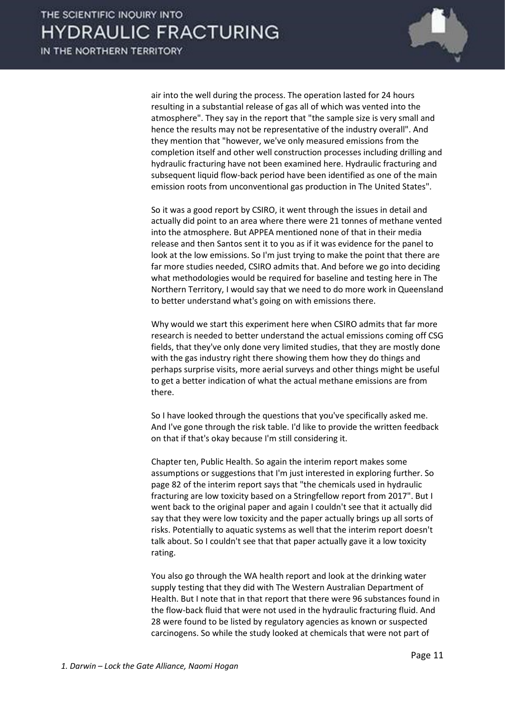

air into the well during the process. The operation lasted for 24 hours resulting in a substantial release of gas all of which was vented into the atmosphere". They say in the report that "the sample size is very small and hence the results may not be representative of the industry overall". And they mention that "however, we've only measured emissions from the completion itself and other well construction processes including drilling and hydraulic fracturing have not been examined here. Hydraulic fracturing and subsequent liquid flow-back period have been identified as one of the main emission roots from unconventional gas production in The United States".

 So it was a good report by CSIRO, it went through the issues in detail and actually did point to an area where there were 21 tonnes of methane vented into the atmosphere. But APPEA mentioned none of that in their media release and then Santos sent it to you as if it was evidence for the panel to look at the low emissions. So I'm just trying to make the point that there are far more studies needed, CSIRO admits that. And before we go into deciding what methodologies would be required for baseline and testing here in The Northern Territory, I would say that we need to do more work in Queensland to better understand what's going on with emissions there.

 Why would we start this experiment here when CSIRO admits that far more research is needed to better understand the actual emissions coming off CSG fields, that they've only done very limited studies, that they are mostly done with the gas industry right there showing them how they do things and perhaps surprise visits, more aerial surveys and other things might be useful to get a better indication of what the actual methane emissions are from there.

 So I have looked through the questions that you've specifically asked me. And I've gone through the risk table. I'd like to provide the written feedback on that if that's okay because I'm still considering it.

 Chapter ten, Public Health. So again the interim report makes some assumptions or suggestions that I'm just interested in exploring further. So page 82 of the interim report says that "the chemicals used in hydraulic fracturing are low toxicity based on a Stringfellow report from 2017". But I went back to the original paper and again I couldn't see that it actually did say that they were low toxicity and the paper actually brings up all sorts of risks. Potentially to aquatic systems as well that the interim report doesn't talk about. So I couldn't see that that paper actually gave it a low toxicity rating.

 You also go through the WA health report and look at the drinking water supply testing that they did with The Western Australian Department of Health. But I note that in that report that there were 96 substances found in the flow-back fluid that were not used in the hydraulic fracturing fluid. And 28 were found to be listed by regulatory agencies as known or suspected carcinogens. So while the study looked at chemicals that were not part of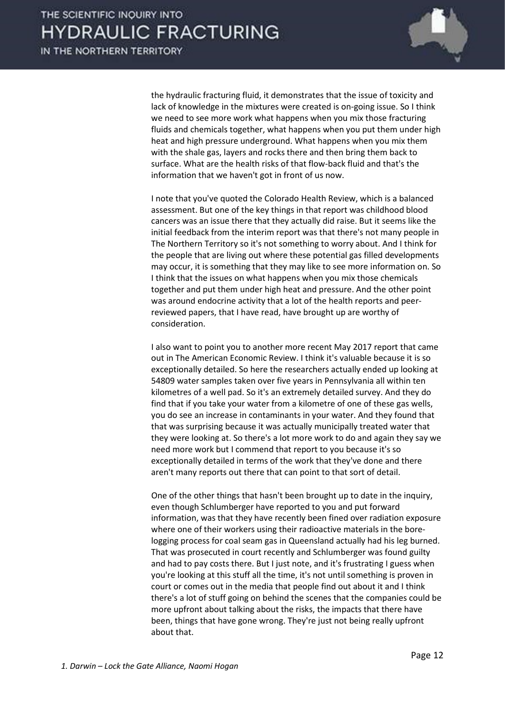

the hydraulic fracturing fluid, it demonstrates that the issue of toxicity and lack of knowledge in the mixtures were created is on-going issue. So I think we need to see more work what happens when you mix those fracturing fluids and chemicals together, what happens when you put them under high heat and high pressure underground. What happens when you mix them with the shale gas, layers and rocks there and then bring them back to surface. What are the health risks of that flow-back fluid and that's the information that we haven't got in front of us now.

 I note that you've quoted the Colorado Health Review, which is a balanced assessment. But one of the key things in that report was childhood blood cancers was an issue there that they actually did raise. But it seems like the initial feedback from the interim report was that there's not many people in The Northern Territory so it's not something to worry about. And I think for the people that are living out where these potential gas filled developments may occur, it is something that they may like to see more information on. So I think that the issues on what happens when you mix those chemicals together and put them under high heat and pressure. And the other point was around endocrine activity that a lot of the health reports and peerreviewed papers, that I have read, have brought up are worthy of consideration.

 I also want to point you to another more recent May 2017 report that came out in The American Economic Review. I think it's valuable because it is so exceptionally detailed. So here the researchers actually ended up looking at 54809 water samples taken over five years in Pennsylvania all within ten kilometres of a well pad. So it's an extremely detailed survey. And they do find that if you take your water from a kilometre of one of these gas wells, you do see an increase in contaminants in your water. And they found that that was surprising because it was actually municipally treated water that they were looking at. So there's a lot more work to do and again they say we need more work but I commend that report to you because it's so exceptionally detailed in terms of the work that they've done and there aren't many reports out there that can point to that sort of detail.

 One of the other things that hasn't been brought up to date in the inquiry, even though Schlumberger have reported to you and put forward information, was that they have recently been fined over radiation exposure where one of their workers using their radioactive materials in the borelogging process for coal seam gas in Queensland actually had his leg burned. That was prosecuted in court recently and Schlumberger was found guilty and had to pay costs there. But I just note, and it's frustrating I guess when you're looking at this stuff all the time, it's not until something is proven in court or comes out in the media that people find out about it and I think there's a lot of stuff going on behind the scenes that the companies could be more upfront about talking about the risks, the impacts that there have been, things that have gone wrong. They're just not being really upfront about that.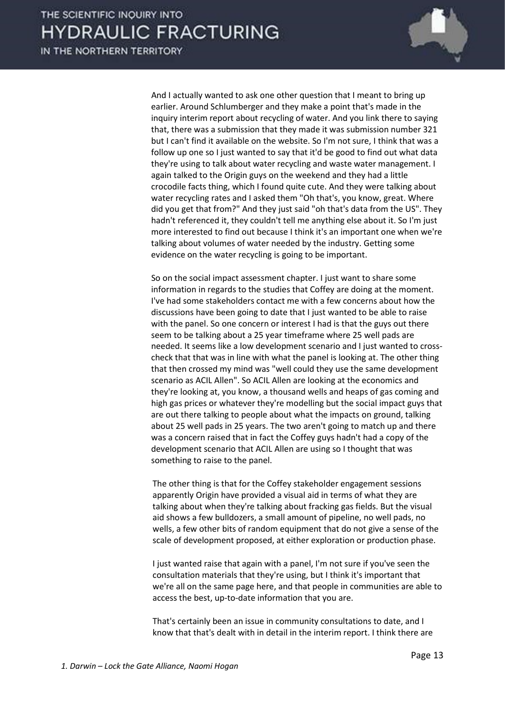

 And I actually wanted to ask one other question that I meant to bring up earlier. Around Schlumberger and they make a point that's made in the inquiry interim report about recycling of water. And you link there to saying that, there was a submission that they made it was submission number 321 but I can't find it available on the website. So I'm not sure, I think that was a follow up one so I just wanted to say that it'd be good to find out what data they're using to talk about water recycling and waste water management. I again talked to the Origin guys on the weekend and they had a little crocodile facts thing, which I found quite cute. And they were talking about water recycling rates and I asked them "Oh that's, you know, great. Where did you get that from?" And they just said "oh that's data from the US". They hadn't referenced it, they couldn't tell me anything else about it. So I'm just more interested to find out because I think it's an important one when we're talking about volumes of water needed by the industry. Getting some evidence on the water recycling is going to be important.

 So on the social impact assessment chapter. I just want to share some information in regards to the studies that Coffey are doing at the moment. I've had some stakeholders contact me with a few concerns about how the discussions have been going to date that I just wanted to be able to raise with the panel. So one concern or interest I had is that the guys out there seem to be talking about a 25 year timeframe where 25 well pads are needed. It seems like a low development scenario and I just wanted to crosscheck that that was in line with what the panel is looking at. The other thing that then crossed my mind was "well could they use the same development scenario as ACIL Allen". So ACIL Allen are looking at the economics and they're looking at, you know, a thousand wells and heaps of gas coming and high gas prices or whatever they're modelling but the social impact guys that are out there talking to people about what the impacts on ground, talking about 25 well pads in 25 years. The two aren't going to match up and there was a concern raised that in fact the Coffey guys hadn't had a copy of the development scenario that ACIL Allen are using so I thought that was something to raise to the panel.

 The other thing is that for the Coffey stakeholder engagement sessions apparently Origin have provided a visual aid in terms of what they are talking about when they're talking about fracking gas fields. But the visual aid shows a few bulldozers, a small amount of pipeline, no well pads, no wells, a few other bits of random equipment that do not give a sense of the scale of development proposed, at either exploration or production phase.

 I just wanted raise that again with a panel, I'm not sure if you've seen the consultation materials that they're using, but I think it's important that we're all on the same page here, and that people in communities are able to access the best, up-to-date information that you are.

 That's certainly been an issue in community consultations to date, and I know that that's dealt with in detail in the interim report. I think there are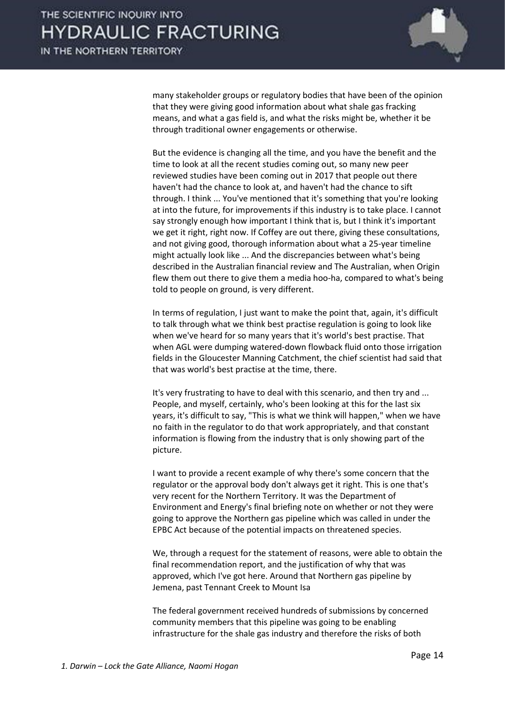

many stakeholder groups or regulatory bodies that have been of the opinion that they were giving good information about what shale gas fracking means, and what a gas field is, and what the risks might be, whether it be through traditional owner engagements or otherwise.

 But the evidence is changing all the time, and you have the benefit and the time to look at all the recent studies coming out, so many new peer reviewed studies have been coming out in 2017 that people out there haven't had the chance to look at, and haven't had the chance to sift through. I think ... You've mentioned that it's something that you're looking at into the future, for improvements if this industry is to take place. I cannot say strongly enough how important I think that is, but I think it's important we get it right, right now. If Coffey are out there, giving these consultations, and not giving good, thorough information about what a 25-year timeline might actually look like ... And the discrepancies between what's being described in the Australian financial review and The Australian, when Origin flew them out there to give them a media hoo-ha, compared to what's being told to people on ground, is very different.

 In terms of regulation, I just want to make the point that, again, it's difficult to talk through what we think best practise regulation is going to look like when we've heard for so many years that it's world's best practise. That when AGL were dumping watered-down flowback fluid onto those irrigation fields in the Gloucester Manning Catchment, the chief scientist had said that that was world's best practise at the time, there.

 It's very frustrating to have to deal with this scenario, and then try and ... People, and myself, certainly, who's been looking at this for the last six years, it's difficult to say, "This is what we think will happen," when we have no faith in the regulator to do that work appropriately, and that constant information is flowing from the industry that is only showing part of the picture.

 I want to provide a recent example of why there's some concern that the regulator or the approval body don't always get it right. This is one that's very recent for the Northern Territory. It was the Department of Environment and Energy's final briefing note on whether or not they were going to approve the Northern gas pipeline which was called in under the EPBC Act because of the potential impacts on threatened species.

 We, through a request for the statement of reasons, were able to obtain the final recommendation report, and the justification of why that was approved, which I've got here. Around that Northern gas pipeline by Jemena, past Tennant Creek to Mount Isa

 The federal government received hundreds of submissions by concerned community members that this pipeline was going to be enabling infrastructure for the shale gas industry and therefore the risks of both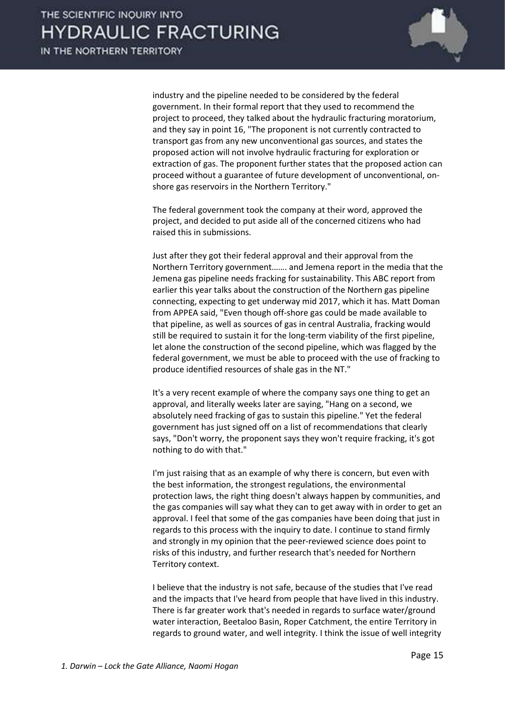

industry and the pipeline needed to be considered by the federal government. In their formal report that they used to recommend the project to proceed, they talked about the hydraulic fracturing moratorium, and they say in point 16, "The proponent is not currently contracted to transport gas from any new unconventional gas sources, and states the proposed action will not involve hydraulic fracturing for exploration or extraction of gas. The proponent further states that the proposed action can proceed without a guarantee of future development of unconventional, onshore gas reservoirs in the Northern Territory."

 The federal government took the company at their word, approved the project, and decided to put aside all of the concerned citizens who had raised this in submissions.

 Just after they got their federal approval and their approval from the Northern Territory government……. and Jemena report in the media that the Jemena gas pipeline needs fracking for sustainability. This ABC report from earlier this year talks about the construction of the Northern gas pipeline connecting, expecting to get underway mid 2017, which it has. Matt Doman from APPEA said, "Even though off-shore gas could be made available to that pipeline, as well as sources of gas in central Australia, fracking would still be required to sustain it for the long-term viability of the first pipeline, let alone the construction of the second pipeline, which was flagged by the federal government, we must be able to proceed with the use of fracking to produce identified resources of shale gas in the NT."

 It's a very recent example of where the company says one thing to get an approval, and literally weeks later are saying, "Hang on a second, we absolutely need fracking of gas to sustain this pipeline." Yet the federal government has just signed off on a list of recommendations that clearly says, "Don't worry, the proponent says they won't require fracking, it's got nothing to do with that."

 I'm just raising that as an example of why there is concern, but even with the best information, the strongest regulations, the environmental protection laws, the right thing doesn't always happen by communities, and the gas companies will say what they can to get away with in order to get an approval. I feel that some of the gas companies have been doing that just in regards to this process with the inquiry to date. I continue to stand firmly and strongly in my opinion that the peer-reviewed science does point to risks of this industry, and further research that's needed for Northern Territory context.

 I believe that the industry is not safe, because of the studies that I've read and the impacts that I've heard from people that have lived in this industry. There is far greater work that's needed in regards to surface water/ground water interaction, Beetaloo Basin, Roper Catchment, the entire Territory in regards to ground water, and well integrity. I think the issue of well integrity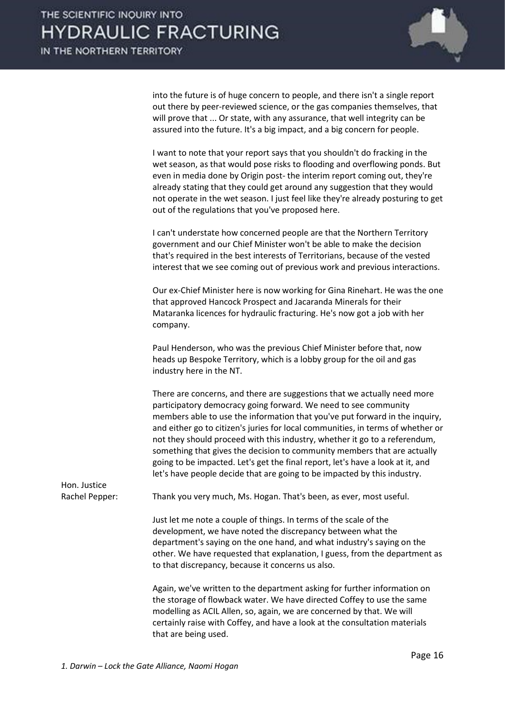

into the future is of huge concern to people, and there isn't a single report out there by peer-reviewed science, or the gas companies themselves, that will prove that ... Or state, with any assurance, that well integrity can be assured into the future. It's a big impact, and a big concern for people.

 I want to note that your report says that you shouldn't do fracking in the wet season, as that would pose risks to flooding and overflowing ponds. But even in media done by Origin post- the interim report coming out, they're already stating that they could get around any suggestion that they would not operate in the wet season. I just feel like they're already posturing to get out of the regulations that you've proposed here.

 I can't understate how concerned people are that the Northern Territory government and our Chief Minister won't be able to make the decision that's required in the best interests of Territorians, because of the vested interest that we see coming out of previous work and previous interactions.

 Our ex-Chief Minister here is now working for Gina Rinehart. He was the one that approved Hancock Prospect and Jacaranda Minerals for their Mataranka licences for hydraulic fracturing. He's now got a job with her company.

 Paul Henderson, who was the previous Chief Minister before that, now heads up Bespoke Territory, which is a lobby group for the oil and gas industry here in the NT.

 There are concerns, and there are suggestions that we actually need more participatory democracy going forward. We need to see community members able to use the information that you've put forward in the inquiry, and either go to citizen's juries for local communities, in terms of whether or not they should proceed with this industry, whether it go to a referendum, something that gives the decision to community members that are actually going to be impacted. Let's get the final report, let's have a look at it, and let's have people decide that are going to be impacted by this industry.

Hon. Justice

Rachel Pepper: Thank you very much, Ms. Hogan. That's been, as ever, most useful.

 Just let me note a couple of things. In terms of the scale of the development, we have noted the discrepancy between what the department's saying on the one hand, and what industry's saying on the other. We have requested that explanation, I guess, from the department as to that discrepancy, because it concerns us also.

 Again, we've written to the department asking for further information on the storage of flowback water. We have directed Coffey to use the same modelling as ACIL Allen, so, again, we are concerned by that. We will certainly raise with Coffey, and have a look at the consultation materials that are being used.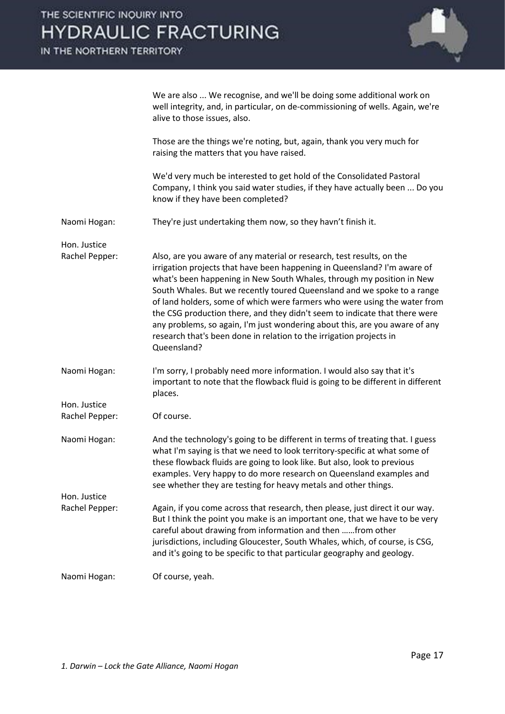## THE SCIENTIFIC INOUIRY INTO **HYDRAULIC FRACTURING**

IN THE NORTHERN TERRITORY



well integrity, and, in particular, on de-commissioning of wells. Again, we're alive to those issues, also. Those are the things we're noting, but, again, thank you very much for raising the matters that you have raised. We'd very much be interested to get hold of the Consolidated Pastoral Company, I think you said water studies, if they have actually been ... Do you know if they have been completed? Naomi Hogan: They're just undertaking them now, so they havn't finish it. Hon. Justice Rachel Pepper: Also, are you aware of any material or research, test results, on the irrigation projects that have been happening in Queensland? I'm aware of what's been happening in New South Whales, through my position in New South Whales. But we recently toured Queensland and we spoke to a range of land holders, some of which were farmers who were using the water from the CSG production there, and they didn't seem to indicate that there were any problems, so again, I'm just wondering about this, are you aware of any research that's been done in relation to the irrigation projects in Queensland? Naomi Hogan: I'm sorry, I probably need more information. I would also say that it's important to note that the flowback fluid is going to be different in different places. Hon. Justice Rachel Pepper: Of course. Naomi Hogan: And the technology's going to be different in terms of treating that. I guess what I'm saying is that we need to look territory-specific at what some of these flowback fluids are going to look like. But also, look to previous examples. Very happy to do more research on Queensland examples and see whether they are testing for heavy metals and other things. Hon. Justice Rachel Pepper: Again, if you come across that research, then please, just direct it our way. But I think the point you make is an important one, that we have to be very careful about drawing from information and then ……from other jurisdictions, including Gloucester, South Whales, which, of course, is CSG, and it's going to be specific to that particular geography and geology.

We are also ... We recognise, and we'll be doing some additional work on

Naomi Hogan: Of course, yeah.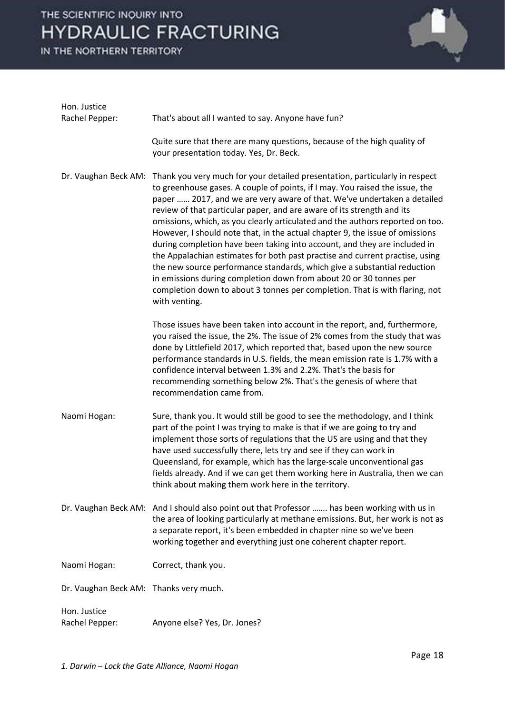# THE SCIENTIFIC INQUIRY INTO **HYDRAULIC FRACTURING**

IN THE NORTHERN TERRITORY



| Hon. Justice<br>Rachel Pepper:         |                                                                                                                                                                                                                                                                                                                                                                                                                                                                                                                                                                                                                                                                                                                                                                                                                                                                                                  |
|----------------------------------------|--------------------------------------------------------------------------------------------------------------------------------------------------------------------------------------------------------------------------------------------------------------------------------------------------------------------------------------------------------------------------------------------------------------------------------------------------------------------------------------------------------------------------------------------------------------------------------------------------------------------------------------------------------------------------------------------------------------------------------------------------------------------------------------------------------------------------------------------------------------------------------------------------|
|                                        | That's about all I wanted to say. Anyone have fun?                                                                                                                                                                                                                                                                                                                                                                                                                                                                                                                                                                                                                                                                                                                                                                                                                                               |
|                                        | Quite sure that there are many questions, because of the high quality of<br>your presentation today. Yes, Dr. Beck.                                                                                                                                                                                                                                                                                                                                                                                                                                                                                                                                                                                                                                                                                                                                                                              |
| Dr. Vaughan Beck AM:                   | Thank you very much for your detailed presentation, particularly in respect<br>to greenhouse gases. A couple of points, if I may. You raised the issue, the<br>paper  2017, and we are very aware of that. We've undertaken a detailed<br>review of that particular paper, and are aware of its strength and its<br>omissions, which, as you clearly articulated and the authors reported on too.<br>However, I should note that, in the actual chapter 9, the issue of omissions<br>during completion have been taking into account, and they are included in<br>the Appalachian estimates for both past practise and current practise, using<br>the new source performance standards, which give a substantial reduction<br>in emissions during completion down from about 20 or 30 tonnes per<br>completion down to about 3 tonnes per completion. That is with flaring, not<br>with venting. |
|                                        | Those issues have been taken into account in the report, and, furthermore,<br>you raised the issue, the 2%. The issue of 2% comes from the study that was<br>done by Littlefield 2017, which reported that, based upon the new source<br>performance standards in U.S. fields, the mean emission rate is 1.7% with a<br>confidence interval between 1.3% and 2.2%. That's the basis for<br>recommending something below 2%. That's the genesis of where that<br>recommendation came from.                                                                                                                                                                                                                                                                                                                                                                                                        |
| Naomi Hogan:                           | Sure, thank you. It would still be good to see the methodology, and I think<br>part of the point I was trying to make is that if we are going to try and<br>implement those sorts of regulations that the US are using and that they<br>have used successfully there, lets try and see if they can work in<br>Queensland, for example, which has the large-scale unconventional gas<br>fields already. And if we can get them working here in Australia, then we can<br>think about making them work here in the territory.                                                                                                                                                                                                                                                                                                                                                                      |
|                                        | Dr. Vaughan Beck AM: And I should also point out that Professor  has been working with us in<br>the area of looking particularly at methane emissions. But, her work is not as<br>a separate report, it's been embedded in chapter nine so we've been<br>working together and everything just one coherent chapter report.                                                                                                                                                                                                                                                                                                                                                                                                                                                                                                                                                                       |
| Naomi Hogan:                           | Correct, thank you.                                                                                                                                                                                                                                                                                                                                                                                                                                                                                                                                                                                                                                                                                                                                                                                                                                                                              |
| Dr. Vaughan Beck AM: Thanks very much. |                                                                                                                                                                                                                                                                                                                                                                                                                                                                                                                                                                                                                                                                                                                                                                                                                                                                                                  |
| Hon. Justice<br>Rachel Pepper:         | Anyone else? Yes, Dr. Jones?                                                                                                                                                                                                                                                                                                                                                                                                                                                                                                                                                                                                                                                                                                                                                                                                                                                                     |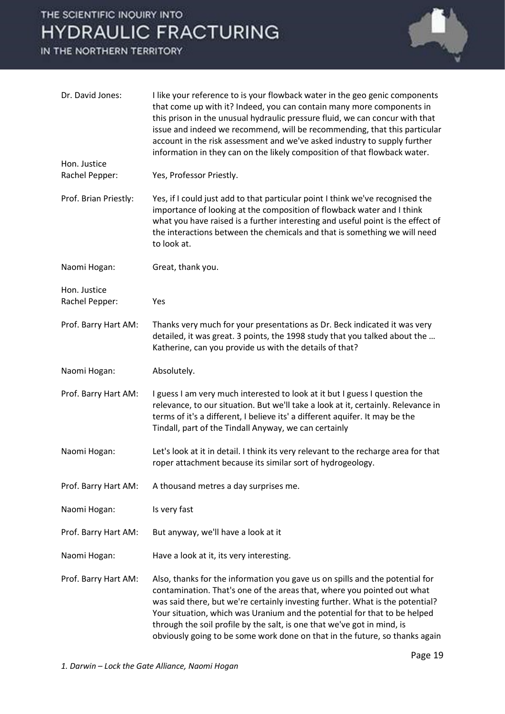## THE SCIENTIFIC INQUIRY INTO **HYDRAULIC FRACTURING**

IN THE NORTHERN TERRITORY



| Dr. David Jones:               | I like your reference to is your flowback water in the geo genic components<br>that come up with it? Indeed, you can contain many more components in<br>this prison in the unusual hydraulic pressure fluid, we can concur with that<br>issue and indeed we recommend, will be recommending, that this particular<br>account in the risk assessment and we've asked industry to supply further<br>information in they can on the likely composition of that flowback water.     |
|--------------------------------|---------------------------------------------------------------------------------------------------------------------------------------------------------------------------------------------------------------------------------------------------------------------------------------------------------------------------------------------------------------------------------------------------------------------------------------------------------------------------------|
| Hon. Justice<br>Rachel Pepper: | Yes, Professor Priestly.                                                                                                                                                                                                                                                                                                                                                                                                                                                        |
| Prof. Brian Priestly:          | Yes, if I could just add to that particular point I think we've recognised the<br>importance of looking at the composition of flowback water and I think<br>what you have raised is a further interesting and useful point is the effect of<br>the interactions between the chemicals and that is something we will need<br>to look at.                                                                                                                                         |
| Naomi Hogan:                   | Great, thank you.                                                                                                                                                                                                                                                                                                                                                                                                                                                               |
| Hon. Justice<br>Rachel Pepper: | Yes                                                                                                                                                                                                                                                                                                                                                                                                                                                                             |
| Prof. Barry Hart AM:           | Thanks very much for your presentations as Dr. Beck indicated it was very<br>detailed, it was great. 3 points, the 1998 study that you talked about the<br>Katherine, can you provide us with the details of that?                                                                                                                                                                                                                                                              |
| Naomi Hogan:                   | Absolutely.                                                                                                                                                                                                                                                                                                                                                                                                                                                                     |
| Prof. Barry Hart AM:           | I guess I am very much interested to look at it but I guess I question the<br>relevance, to our situation. But we'll take a look at it, certainly. Relevance in<br>terms of it's a different, I believe its' a different aquifer. It may be the<br>Tindall, part of the Tindall Anyway, we can certainly                                                                                                                                                                        |
| Naomi Hogan:                   | Let's look at it in detail. I think its very relevant to the recharge area for that<br>roper attachment because its similar sort of hydrogeology.                                                                                                                                                                                                                                                                                                                               |
| Prof. Barry Hart AM:           | A thousand metres a day surprises me.                                                                                                                                                                                                                                                                                                                                                                                                                                           |
| Naomi Hogan:                   | Is very fast                                                                                                                                                                                                                                                                                                                                                                                                                                                                    |
| Prof. Barry Hart AM:           | But anyway, we'll have a look at it                                                                                                                                                                                                                                                                                                                                                                                                                                             |
| Naomi Hogan:                   | Have a look at it, its very interesting.                                                                                                                                                                                                                                                                                                                                                                                                                                        |
| Prof. Barry Hart AM:           | Also, thanks for the information you gave us on spills and the potential for<br>contamination. That's one of the areas that, where you pointed out what<br>was said there, but we're certainly investing further. What is the potential?<br>Your situation, which was Uranium and the potential for that to be helped<br>through the soil profile by the salt, is one that we've got in mind, is<br>obviously going to be some work done on that in the future, so thanks again |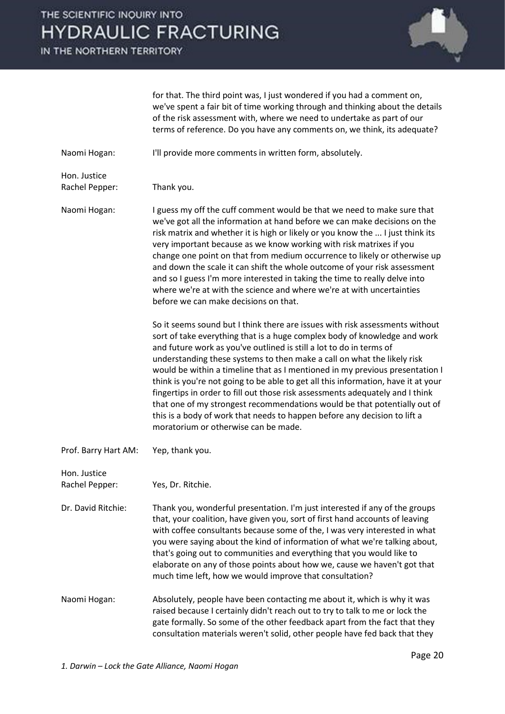#### THE SCIENTIFIC INOUIRY INTO **HYDRAULIC FRACTURING**

IN THE NORTHERN TERRITORY



for that. The third point was, I just wondered if you had a comment on, we've spent a fair bit of time working through and thinking about the details of the risk assessment with, where we need to undertake as part of our terms of reference. Do you have any comments on, we think, its adequate?

Naomi Hogan: I'll provide more comments in written form, absolutely.

Hon. Justice Rachel Pepper: Thank you.

Naomi Hogan: I guess my off the cuff comment would be that we need to make sure that we've got all the information at hand before we can make decisions on the risk matrix and whether it is high or likely or you know the ... I just think its very important because as we know working with risk matrixes if you change one point on that from medium occurrence to likely or otherwise up and down the scale it can shift the whole outcome of your risk assessment and so I guess I'm more interested in taking the time to really delve into where we're at with the science and where we're at with uncertainties before we can make decisions on that.

> So it seems sound but I think there are issues with risk assessments without sort of take everything that is a huge complex body of knowledge and work and future work as you've outlined is still a lot to do in terms of understanding these systems to then make a call on what the likely risk would be within a timeline that as I mentioned in my previous presentation I think is you're not going to be able to get all this information, have it at your fingertips in order to fill out those risk assessments adequately and I think that one of my strongest recommendations would be that potentially out of this is a body of work that needs to happen before any decision to lift a moratorium or otherwise can be made.

Prof. Barry Hart AM: Yep, thank you.

Hon. Justice Rachel Pepper: Yes, Dr. Ritchie.

Dr. David Ritchie: Thank you, wonderful presentation. I'm just interested if any of the groups that, your coalition, have given you, sort of first hand accounts of leaving with coffee consultants because some of the, I was very interested in what you were saying about the kind of information of what we're talking about, that's going out to communities and everything that you would like to elaborate on any of those points about how we, cause we haven't got that much time left, how we would improve that consultation?

Naomi Hogan: Absolutely, people have been contacting me about it, which is why it was raised because I certainly didn't reach out to try to talk to me or lock the gate formally. So some of the other feedback apart from the fact that they consultation materials weren't solid, other people have fed back that they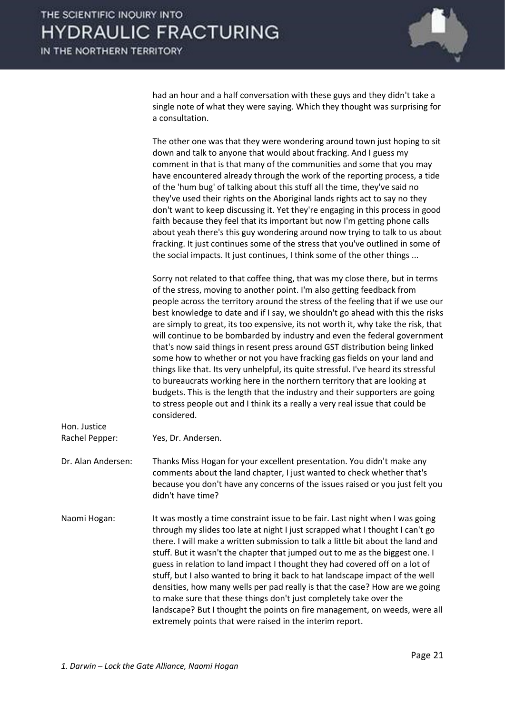

had an hour and a half conversation with these guys and they didn't take a single note of what they were saying. Which they thought was surprising for a consultation.

 The other one was that they were wondering around town just hoping to sit down and talk to anyone that would about fracking. And I guess my comment in that is that many of the communities and some that you may have encountered already through the work of the reporting process, a tide of the 'hum bug' of talking about this stuff all the time, they've said no they've used their rights on the Aboriginal lands rights act to say no they don't want to keep discussing it. Yet they're engaging in this process in good faith because they feel that its important but now I'm getting phone calls about yeah there's this guy wondering around now trying to talk to us about fracking. It just continues some of the stress that you've outlined in some of the social impacts. It just continues, I think some of the other things ...

 Sorry not related to that coffee thing, that was my close there, but in terms of the stress, moving to another point. I'm also getting feedback from people across the territory around the stress of the feeling that if we use our best knowledge to date and if I say, we shouldn't go ahead with this the risks are simply to great, its too expensive, its not worth it, why take the risk, that will continue to be bombarded by industry and even the federal government that's now said things in resent press around GST distribution being linked some how to whether or not you have fracking gas fields on your land and things like that. Its very unhelpful, its quite stressful. I've heard its stressful to bureaucrats working here in the northern territory that are looking at budgets. This is the length that the industry and their supporters are going to stress people out and I think its a really a very real issue that could be considered.

| Hon. Justice       |                                                                                                                                                                                                                                                                                                                                                                                                                                                                                                                                                                                                                                                                                                                                                                                                  |
|--------------------|--------------------------------------------------------------------------------------------------------------------------------------------------------------------------------------------------------------------------------------------------------------------------------------------------------------------------------------------------------------------------------------------------------------------------------------------------------------------------------------------------------------------------------------------------------------------------------------------------------------------------------------------------------------------------------------------------------------------------------------------------------------------------------------------------|
| Rachel Pepper:     | Yes, Dr. Andersen.                                                                                                                                                                                                                                                                                                                                                                                                                                                                                                                                                                                                                                                                                                                                                                               |
| Dr. Alan Andersen: | Thanks Miss Hogan for your excellent presentation. You didn't make any<br>comments about the land chapter, I just wanted to check whether that's<br>because you don't have any concerns of the issues raised or you just felt you<br>didn't have time?                                                                                                                                                                                                                                                                                                                                                                                                                                                                                                                                           |
| Naomi Hogan:       | It was mostly a time constraint issue to be fair. Last night when I was going<br>through my slides too late at night I just scrapped what I thought I can't go<br>there. I will make a written submission to talk a little bit about the land and<br>stuff. But it wasn't the chapter that jumped out to me as the biggest one. I<br>guess in relation to land impact I thought they had covered off on a lot of<br>stuff, but I also wanted to bring it back to hat landscape impact of the well<br>densities, how many wells per pad really is that the case? How are we going<br>to make sure that these things don't just completely take over the<br>landscape? But I thought the points on fire management, on weeds, were all<br>extremely points that were raised in the interim report. |